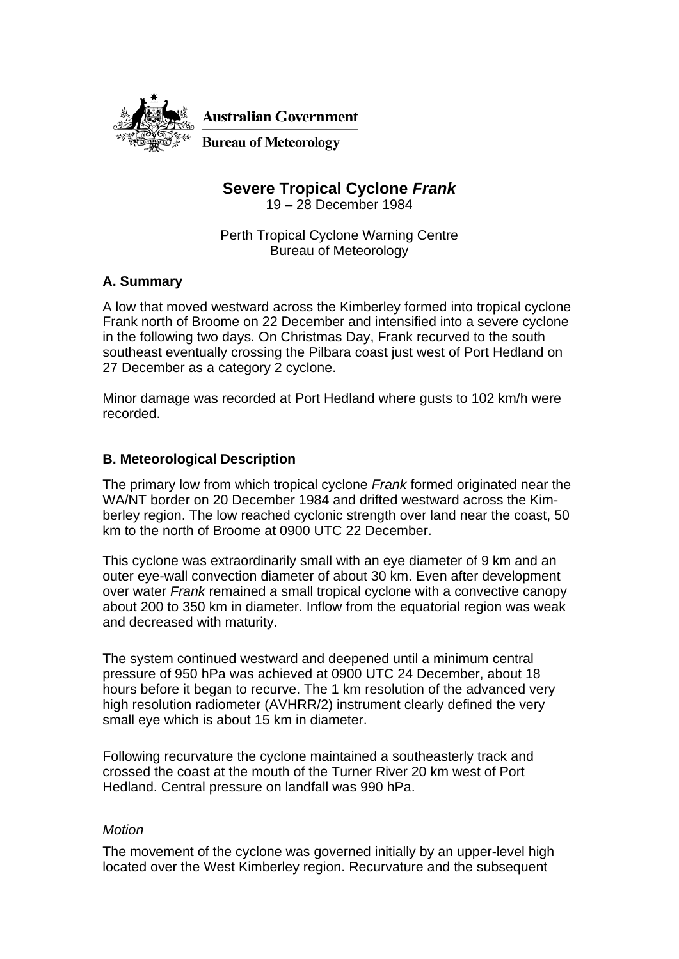

**Australian Government** 

**Bureau of Meteorology** 

# **Severe Tropical Cyclone** *Frank*

19 – 28 December 1984

Perth Tropical Cyclone Warning Centre Bureau of Meteorology

### **A. Summary**

A low that moved westward across the Kimberley formed into tropical cyclone Frank north of Broome on 22 December and intensified into a severe cyclone in the following two days. On Christmas Day, Frank recurved to the south southeast eventually crossing the Pilbara coast just west of Port Hedland on 27 December as a category 2 cyclone.

Minor damage was recorded at Port Hedland where gusts to 102 km/h were recorded.

#### **B. Meteorological Description**

The primary low from which tropical cyclone *Frank* formed originated near the WA/NT border on 20 December 1984 and drifted westward across the Kimberley region. The low reached cyclonic strength over land near the coast, 50 km to the north of Broome at 0900 UTC 22 December.

This cyclone was extraordinarily small with an eye diameter of 9 km and an outer eye-wall convection diameter of about 30 km. Even after development over water *Frank* remained *a* small tropical cyclone with a convective canopy about 200 to 350 km in diameter. Inflow from the equatorial region was weak and decreased with maturity.

The system continued westward and deepened until a minimum central pressure of 950 hPa was achieved at 0900 UTC 24 December, about 18 hours before it began to recurve. The 1 km resolution of the advanced very high resolution radiometer (AVHRR/2) instrument clearly defined the very small eye which is about 15 km in diameter.

Following recurvature the cyclone maintained a southeasterly track and crossed the coast at the mouth of the Turner River 20 km west of Port Hedland. Central pressure on landfall was 990 hPa.

#### *Motion*

The movement of the cyclone was governed initially by an upper-level high located over the West Kimberley region. Recurvature and the subsequent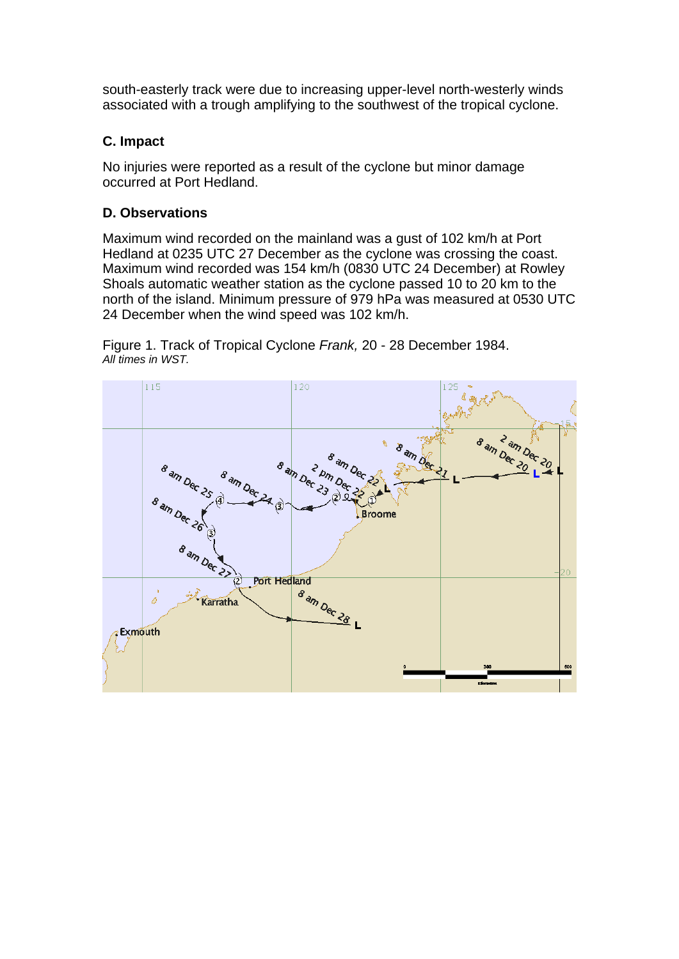south-easterly track were due to increasing upper-level north-westerly winds associated with a trough amplifying to the southwest of the tropical cyclone.

### **C. Impact**

No injuries were reported as a result of the cyclone but minor damage occurred at Port Hedland.

## **D. Observations**

Maximum wind recorded on the mainland was a gust of 102 km/h at Port Hedland at 0235 UTC 27 December as the cyclone was crossing the coast. Maximum wind recorded was 154 km/h (0830 UTC 24 December) at Rowley Shoals automatic weather station as the cyclone passed 10 to 20 km to the north of the island. Minimum pressure of 979 hPa was measured at 0530 UTC 24 December when the wind speed was 102 km/h.

Figure 1. Track of Tropical Cyclone *Frank,* 20 - 28 December 1984. *All times in WST.* 

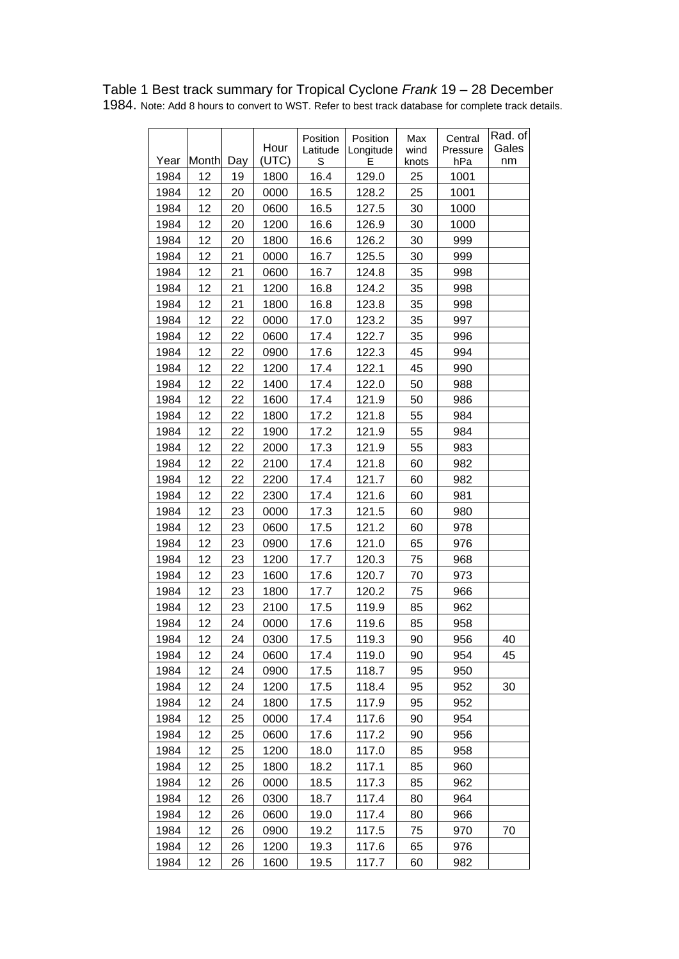|      |       |     | Hour  | Position<br>Latitude | Position<br>Longitude | Max<br>wind | Central<br>Pressure | Rad. of<br>Gales |
|------|-------|-----|-------|----------------------|-----------------------|-------------|---------------------|------------------|
| Year | Month | Day | (UTC) | S                    | F                     | knots       | hPa                 | nm               |
| 1984 | 12    | 19  | 1800  | 16.4                 | 129.0                 | 25          | 1001                |                  |
| 1984 | 12    | 20  | 0000  | 16.5                 | 128.2                 | 25          | 1001                |                  |
| 1984 | 12    | 20  | 0600  | 16.5                 | 127.5                 | 30          | 1000                |                  |
| 1984 | 12    | 20  | 1200  | 16.6                 | 126.9                 | 30          | 1000                |                  |
| 1984 | 12    | 20  | 1800  | 16.6                 | 126.2                 | 30          | 999                 |                  |
| 1984 | 12    | 21  | 0000  | 16.7                 | 125.5                 | 30          | 999                 |                  |
| 1984 | 12    | 21  | 0600  | 16.7                 | 124.8                 | 35          | 998                 |                  |
| 1984 | 12    | 21  | 1200  | 16.8                 | 124.2                 | 35          | 998                 |                  |
| 1984 | 12    | 21  | 1800  | 16.8                 | 123.8                 | 35          | 998                 |                  |
| 1984 | 12    | 22  | 0000  | 17.0                 | 123.2                 | 35          | 997                 |                  |
| 1984 | 12    | 22  | 0600  | 17.4                 | 122.7                 | 35          | 996                 |                  |
| 1984 | 12    | 22  | 0900  | 17.6                 | 122.3                 | 45          | 994                 |                  |
| 1984 | 12    | 22  | 1200  | 17.4                 | 122.1                 | 45          | 990                 |                  |
| 1984 | 12    | 22  | 1400  | 17.4                 | 122.0                 | 50          | 988                 |                  |
| 1984 | 12    | 22  | 1600  | 17.4                 | 121.9                 | 50          | 986                 |                  |
| 1984 | 12    | 22  | 1800  | 17.2                 | 121.8                 | 55          | 984                 |                  |
| 1984 | 12    | 22  | 1900  | 17.2                 | 121.9                 | 55          | 984                 |                  |
| 1984 | 12    | 22  | 2000  | 17.3                 | 121.9                 | 55          | 983                 |                  |
| 1984 | 12    | 22  | 2100  | 17.4                 | 121.8                 | 60          | 982                 |                  |
| 1984 | 12    | 22  | 2200  | 17.4                 | 121.7                 | 60          | 982                 |                  |
| 1984 | 12    | 22  | 2300  | 17.4                 | 121.6                 | 60          | 981                 |                  |
| 1984 | 12    | 23  | 0000  | 17.3                 | 121.5                 | 60          | 980                 |                  |
| 1984 | 12    | 23  | 0600  | 17.5                 | 121.2                 | 60          | 978                 |                  |
| 1984 | 12    | 23  | 0900  | 17.6                 | 121.0                 | 65          | 976                 |                  |
| 1984 | 12    | 23  | 1200  | 17.7                 | 120.3                 | 75          | 968                 |                  |
| 1984 | 12    | 23  | 1600  | 17.6                 | 120.7                 | 70          | 973                 |                  |
| 1984 | 12    | 23  | 1800  | 17.7                 | 120.2                 | 75          | 966                 |                  |
| 1984 | 12    | 23  | 2100  | 17.5                 | 119.9                 | 85          | 962                 |                  |
| 1984 | 12    | 24  | 0000  | 17.6                 | 119.6                 | 85          | 958                 |                  |
| 1984 | 12    | 24  | 0300  | 17.5                 | 119.3                 | 90          | 956                 | 40               |
| 1984 | 12    | 24  | 0600  | 17.4                 | 119.0                 | 90          | 954                 | 45               |
| 1984 | 12    | 24  | 0900  | 17.5                 | 118.7                 | 95          | 950                 |                  |
| 1984 | 12    | 24  | 1200  | 17.5                 | 118.4                 | 95          | 952                 | 30               |
| 1984 | 12    | 24  | 1800  | 17.5                 | 117.9                 | 95          | 952                 |                  |
| 1984 | 12    | 25  | 0000  | 17.4                 | 117.6                 | 90          | 954                 |                  |
| 1984 | 12    | 25  | 0600  | 17.6                 | 117.2                 | 90          | 956                 |                  |
| 1984 | 12    | 25  | 1200  | 18.0                 | 117.0                 | 85          | 958                 |                  |
| 1984 | 12    | 25  | 1800  | 18.2                 | 117.1                 | 85          | 960                 |                  |
| 1984 | 12    | 26  | 0000  | 18.5                 | 117.3                 | 85          | 962                 |                  |
| 1984 | 12    | 26  | 0300  | 18.7                 | 117.4                 | 80          | 964                 |                  |
| 1984 | 12    | 26  | 0600  | 19.0                 | 117.4                 | 80          | 966                 |                  |
| 1984 | 12    | 26  | 0900  | 19.2                 | 117.5                 | 75          | 970                 | 70               |
| 1984 | 12    | 26  | 1200  | 19.3                 | 117.6                 | 65          | 976                 |                  |
| 1984 | 12    | 26  | 1600  | 19.5                 | 117.7                 | 60          | 982                 |                  |

Table 1 Best track summary for Tropical Cyclone *Frank* 19 – 28 December 1984. Note: Add 8 hours to convert to WST. Refer to best track database for complete track details.